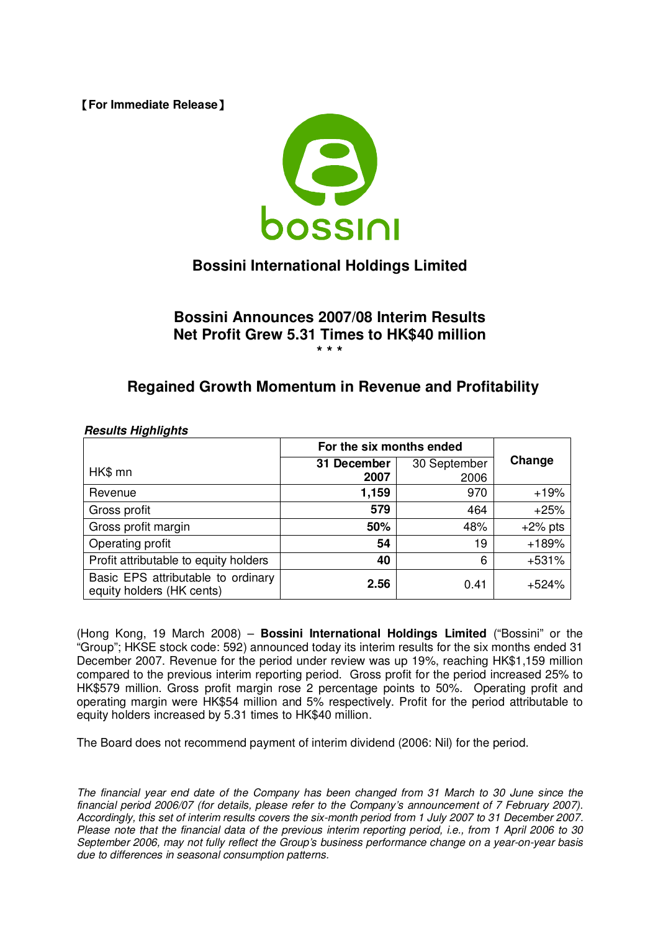**[For Immediate Release]** 



# **Bossini International Holdings Limited**

### **Bossini Announces 2007/08 Interim Results Net Profit Grew 5.31 Times to HK\$40 million \* \* \***

## **Regained Growth Momentum in Revenue and Profitability**

|                                                                 | For the six months ended |              |            |
|-----------------------------------------------------------------|--------------------------|--------------|------------|
| HK\$ mn                                                         | 31 December              | 30 September | Change     |
|                                                                 | 2007                     | 2006         |            |
| Revenue                                                         | 1,159                    | 970          | $+19%$     |
| Gross profit                                                    | 579                      | 464          | $+25%$     |
| Gross profit margin                                             | 50%                      | 48%          | $+2\%$ pts |
| Operating profit                                                | 54                       | 19           | $+189%$    |
| Profit attributable to equity holders                           | 40                       | 6            | $+531%$    |
| Basic EPS attributable to ordinary<br>equity holders (HK cents) | 2.56                     | 0.41         | +524%      |

### *Results Highlights*

(Hong Kong, 19 March 2008) – **Bossini International Holdings Limited** ("Bossini" or the "Group"; HKSE stock code: 592) announced today its interim results for the six months ended 31 December 2007. Revenue for the period under review was up 19%, reaching HK\$1,159 million compared to the previous interim reporting period. Gross profit for the period increased 25% to HK\$579 million. Gross profit margin rose 2 percentage points to 50%. Operating profit and operating margin were HK\$54 million and 5% respectively. Profit for the period attributable to equity holders increased by 5.31 times to HK\$40 million.

The Board does not recommend payment of interim dividend (2006: Nil) for the period.

The financial year end date of the Company has been changed from 31 March to 30 June since the *financial period 2006/07 (for details, please refer to the Company's announcement of 7 February 2007).* Accordingly, this set of interim results covers the six-month period from 1 July 2007 to 31 December 2007. Please note that the financial data of the previous interim reporting period, i.e., from 1 April 2006 to 30 *September 2006, may not fully reflect the Group's business performance change on a year-on-year basis due to differences in seasonal consumption patterns.*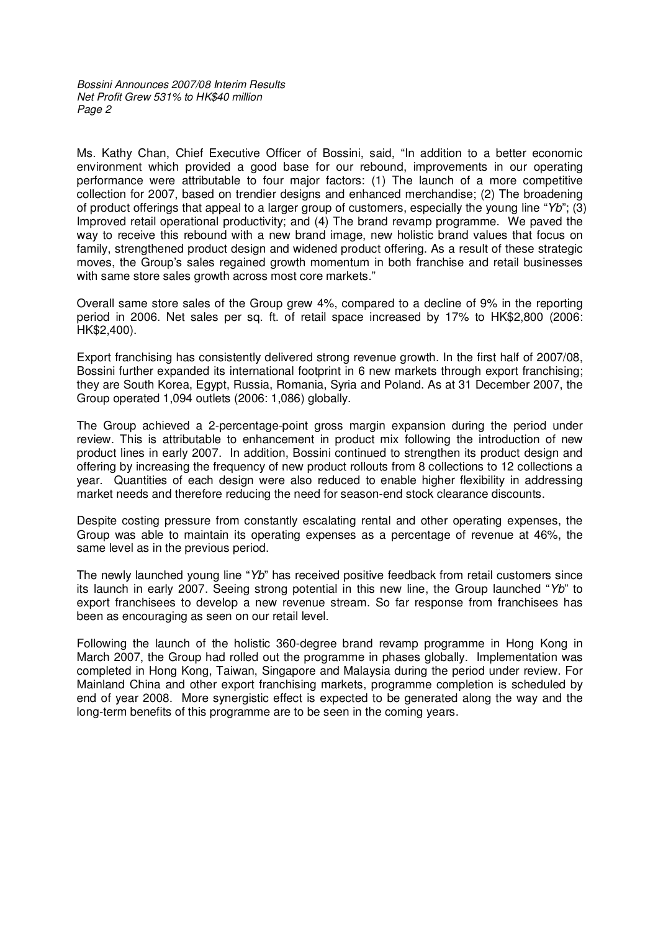Ms. Kathy Chan, Chief Executive Officer of Bossini, said, "In addition to a better economic environment which provided a good base for our rebound, improvements in our operating performance were attributable to four major factors: (1) The launch of a more competitive collection for 2007, based on trendier designs and enhanced merchandise; (2) The broadening of product offerings that appeal to a larger group of customers, especially the young line "*Yb*"; (3) Improved retail operational productivity; and (4) The brand revamp programme. We paved the way to receive this rebound with a new brand image, new holistic brand values that focus on family, strengthened product design and widened product offering. As a result of these strategic moves, the Group's sales regained growth momentum in both franchise and retail businesses with same store sales growth across most core markets."

Overall same store sales of the Group grew 4%, compared to a decline of 9% in the reporting period in 2006. Net sales per sq. ft. of retail space increased by 17% to HK\$2,800 (2006: HK\$2,400).

Export franchising has consistently delivered strong revenue growth. In the first half of 2007/08, Bossini further expanded its international footprint in 6 new markets through export franchising; they are South Korea, Egypt, Russia, Romania, Syria and Poland. As at 31 December 2007, the Group operated 1,094 outlets (2006: 1,086) globally.

The Group achieved a 2-percentage-point gross margin expansion during the period under review. This is attributable to enhancement in product mix following the introduction of new product lines in early 2007. In addition, Bossini continued to strengthen its product design and offering by increasing the frequency of new product rollouts from 8 collections to 12 collections a year. Quantities of each design were also reduced to enable higher flexibility in addressing market needs and therefore reducing the need for season-end stock clearance discounts.

Despite costing pressure from constantly escalating rental and other operating expenses, the Group was able to maintain its operating expenses as a percentage of revenue at 46%, the same level as in the previous period.

The newly launched young line "*Yb*" has received positive feedback from retail customers since its launch in early 2007. Seeing strong potential in this new line, the Group launched "*Yb*" to export franchisees to develop a new revenue stream. So far response from franchisees has been as encouraging as seen on our retail level.

Following the launch of the holistic 360-degree brand revamp programme in Hong Kong in March 2007, the Group had rolled out the programme in phases globally. Implementation was completed in Hong Kong, Taiwan, Singapore and Malaysia during the period under review. For Mainland China and other export franchising markets, programme completion is scheduled by end of year 2008. More synergistic effect is expected to be generated along the way and the long-term benefits of this programme are to be seen in the coming years.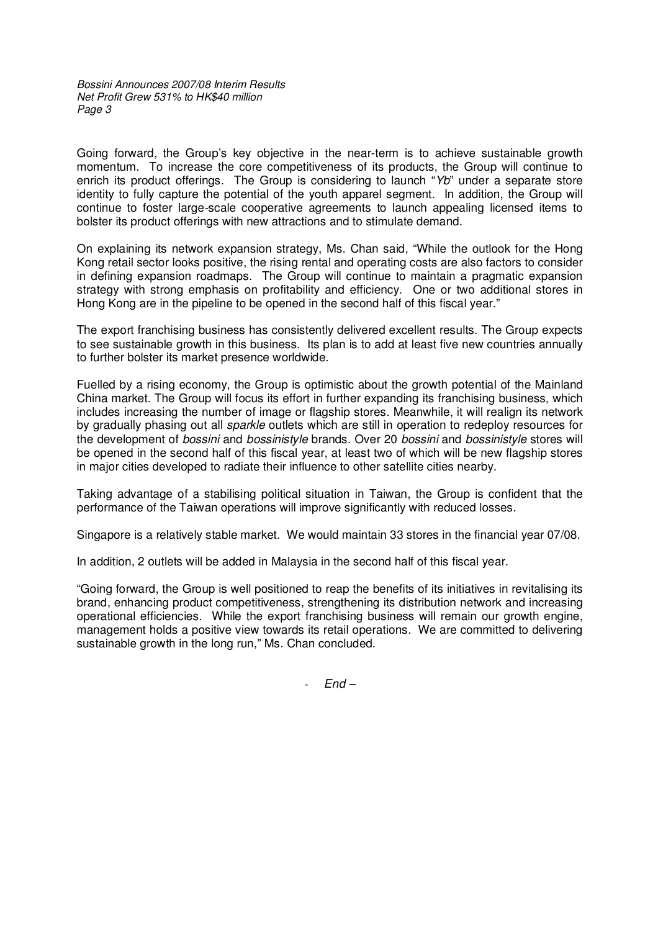Going forward, the Group's key objective in the near-term is to achieve sustainable growth momentum. To increase the core competitiveness of its products, the Group will continue to enrich its product offerings. The Group is considering to launch "*Yb*" under a separate store identity to fully capture the potential of the youth apparel segment. In addition, the Group will continue to foster large-scale cooperative agreements to launch appealing licensed items to bolster its product offerings with new attractions and to stimulate demand.

On explaining its network expansion strategy, Ms. Chan said, "While the outlook for the Hong Kong retail sector looks positive, the rising rental and operating costs are also factors to consider in defining expansion roadmaps. The Group will continue to maintain a pragmatic expansion strategy with strong emphasis on profitability and efficiency. One or two additional stores in Hong Kong are in the pipeline to be opened in the second half of this fiscal year."

The export franchising business has consistently delivered excellent results. The Group expects to see sustainable growth in this business. Its plan is to add at least five new countries annually to further bolster its market presence worldwide.

Fuelled by a rising economy, the Group is optimistic about the growth potential of the Mainland China market. The Group will focus its effort in further expanding its franchising business, which includes increasing the number of image or flagship stores. Meanwhile, it will realign its network by gradually phasing out all *sparkle* outlets which are still in operation to redeploy resources for the development of *bossini* and *bossinistyle* brands. Over 20 *bossini* and *bossinistyle* stores will be opened in the second half of this fiscal year, at least two of which will be new flagship stores in major cities developed to radiate their influence to other satellite cities nearby.

Taking advantage of a stabilising political situation in Taiwan, the Group is confident that the performance of the Taiwan operations will improve significantly with reduced losses.

Singapore is a relatively stable market. We would maintain 33 stores in the financial year 07/08.

In addition, 2 outlets will be added in Malaysia in the second half of this fiscal year.

"Going forward, the Group is well positioned to reap the benefits of its initiatives in revitalising its brand, enhancing product competitiveness, strengthening its distribution network and increasing operational efficiencies. While the export franchising business will remain our growth engine, management holds a positive view towards its retail operations. We are committed to delivering sustainable growth in the long run," Ms. Chan concluded.

- *End –*